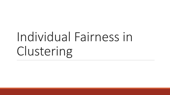# Individual Fairness in Clustering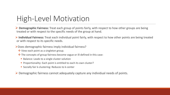## High-Level Motivation

 **Demographic Fairness:** Treat each group of points fairly, with respect to how other groups are being treated or with respect to the specific needs of the group at hand.

 **Individual Fairness:** Treat each individual point fairly, with respect to how other points are being treated or with respect to its specific needs.

- Does demographic fairness imply individual fairness?
	- ❖ View each point as a singleton group.
	- The concepts of group fairness become vague or ill-defined in this case:
		- Balance: Leads to a single cluster solution
		- **Proportionality: Each point is entitled to each its own cluster?**
		- **Socially fair k-clustering: Reduces to k-center**

Demographic fairness cannot adequately capture any individual needs of points.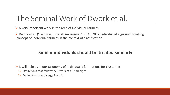# The Seminal Work of Dwork et al.

 $\triangleright$  A very important work in the area of Individual Fairness

 Dwork et al. ("Fairness Through Awareness" – ITCS 2012) introduced a ground breaking concept of individual fairness in the context of classification.

#### **Similar individuals should be treated similarly**

 $\triangleright$  It will help us in our taxonomy of individually fair notions for clustering

- 1) Definitions that follow the Dwork et al. paradigm
- 2) Definitions that diverge from it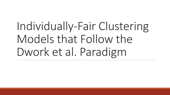Individually-Fair Clustering Models that Follow the Dwork et al. Paradigm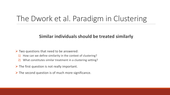### The Dwork et al. Paradigm in Clustering

#### **Similar individuals should be treated similarly**

- $\triangleright$  Two questions that need to be answered:
	- 1) How can we define similarity in the context of clustering?
	- 2) What constitutes similar treatment in a clustering setting?
- $\triangleright$  The first question is not really important.
- $\triangleright$  The second question is of much more significance.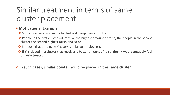# Similar treatment in terms of same cluster placement

#### **Motivational Example:**

- ❖ Suppose a company wants to cluster its employees into k groups
- ◆ People in the first cluster will receive the highest amount of raise, the people in the second cluster the second highest raise, and so on.
- ❖ Suppose that employee X is very similar to employee Y.
- **<sup>◆</sup>** If Y is placed in a cluster that receives a better amount of raise, then X would arguably feel **unfairly treated.**

 $\triangleright$  In such cases, similar points should be placed in the same cluster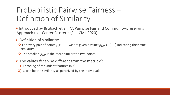# Probabilistic Pairwise Fairness – Definition of Similarity

 Introduced by Brubach et al. ("A Pairwise Fair and Community-preserving Approach to k-Center Clustering" – ICML 2020)

#### $\triangleright$  Definition of similarity:

- $\mathbf{\hat{P}}$  For every pair of points *j*, *j'* ∈ *C* we are given a value  $\psi_{i,i}$ , ∈ [0,1] indicating their true similarity.
- $\cdot$  The smaller  $\psi_{i,j}$ , is the more similar the two points.
- $\triangleright$  The values  $\psi$  can be different from the metric d:
	- 1) Encoding of redundant features in  $d$
	- 2)  $\psi$  can be the similarity as perceived by the individuals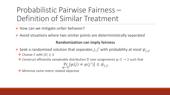# Probabilistic Pairwise Fairness – Definition of Similar Treatment

 $\triangleright$  How can we mitigate unfair behavior?

 $\triangleright$  Avoid situations where two similar points are deterministically separated

#### **Randomization can imply fairness**

Seek a randomized solution that separates j, j' with probability at most  $\psi_{i,j}$ , **V** Choose *S* with  $|S|$  ≤ k

• Construct efficiently sampleable distribution  $D$  over assignments  $\varphi$ :  $\mathcal{C} \to S$  such that

$$
\Pr_{\varphi \sim \mathcal{D}}[\varphi(j) \neq \varphi(j')] \leq \psi_{j,j},
$$

**Winimize some metric related objective**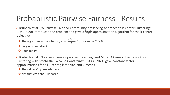# Probabilistic Pairwise Fairness - Results

 Brubach et al. ("A Pairwise Fair and Community-preserving Approach to k-Center Clustering" – ICML 2020) introduced the problem and gave a  $log k$ -approximation algorithm for the k-center objective.

- $\triangleq$  The algorithm works when  $\psi_{j,j} = \{\frac{d(j,j')}{R}\}$  $\frac{f(f)}{R}$ , 1}, for some  $R > 0$ .
- **❖** Very efficient algorithm
- $\triangle$  Bounded PoF

 Brubach et al. ("Fairness, Semi-Supervised Learning, and More: A General Framework for Clustering with Stochastic Pairwise Constraints" – AAAI 2021) gave constant factor approximations for all k-center, k-median and k-means

 $\cdot$  The values  $\psi_{i,j}$  are arbitrary

❖ Not that efficient – LP based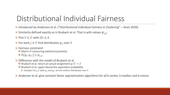# Distributional Individual Fairness

- Introduced by Anderson et al. ("Distributional Individual Fairness in Clustering" Arxiv 2020).
- Similarity defined exactly as in Brubach et al. That is with values  $\psi_{i,j}$ ,
- $\triangleright$  Pick  $S \subseteq C$  with  $|S| \leq k$
- For each  $j \in \mathcal{C}$  find distribution  $\varphi_j$  over S
- $\triangleright$  Fairness constraint:
	- $\cdot$  Metric D measuring statistical proximity
	- $\mathcal{D}(\varphi_i, \varphi_{i'}) \leq \psi_{i, i'}$
- $\triangleright$  Difference with the model of Brubach et al.
	- $\cdot$  Brubach et al. return an actual assignment  $\varphi$ :  $\mathcal{C} \to S$
	- $\cdot$  Brubach et al. upper bound the separation probability
		- $\bullet$  Example: For *j*, *j'* both  $\varphi_i$  and  $\varphi_{i'}$  are the uniform distribution over *S*

 $\triangleright$  Anderson et al. give constant factor approximation algorithms for all k-center, k-median and k-means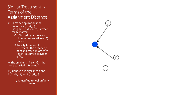#### Similar Treatment is Terms of the Assignment Distance

- $\triangleright$  In many applications the quantity  $d(j,\varphi(j))$ (assignment distance) is what really matters
	- ❖ Clustering: It measures how representative  $\varphi(j)$ is for  $j$ .
	- **❖ Facility Location: It** represents the distance  $j$ needs to travel in order to reach its service provider  $\varphi(j)$ .
- $\triangleright$  The smaller  $d(j, \varphi(j))$  is the more satisfied the point  $j$ .

 $\triangleright$  Suppose  $j'$  is similar to  $j$  and  $d(j',\varphi(j')) \ll d(j,\varphi(j)).$ 

> $j$  is justified to feel unfairly treated

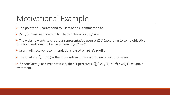### Motivational Example

 $\triangleright$  The points of C correspond to users of an e-commerce site.

 $\triangleright d(j, j')$  measures how similar the profiles of j and j' are.

 $\triangleright$  The website wants to choose k representative users  $S \subseteq C$  (according to some objective function) and construct an assignment  $\varphi$ :  $\mathcal{C} \to S$ .

 $\triangleright$  User *j* will receive recommendations based on  $\varphi(j)'$ s profile.

 $\triangleright$  The smaller  $d(j, \varphi(j))$  is the more relevant the recommendations *j* receives.

 $\triangleright$  If j considers j' as similar to itself, then it perceives  $d(j',\varphi(j')) \ll d(j,\varphi(j))$  as unfair treatment.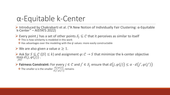### α-Equitable k-Center

Introduced by Chakrabarti et al. ("A New Notion of Individually Fair Clustering: α-Equitable k-Center" – AISTATS 2022)

- Every point *j* has a set of other points  $S_i \subseteq C$  that it perceives as similar to itself
	- $\triangle$  This is how similarity is modeled in this work
	- $\cdot$  Has advantages over the modeling with the  $\psi$  values: more easily constructable
- $\triangleright$  We are also given a value  $\alpha \geq 1$ .

Ask for  $S \subseteq C$  ( $|S| \le k$ ) and assignment  $\varphi: C \to S$  that minimize the k-center objective  $\max_{i \in \mathcal{C}}$ J∈C  $d(j,\varphi(j))$  .

**Fairness Constraint:** For every  $j \in C$  and  $j' \in S_j$  ensure that  $d(j, \varphi(j)) \leq \alpha \cdot d(j', \varphi(j')$ • The smaller  $\alpha$  is the smaller  $\frac{d(J,\varphi(J))}{d(J',\varphi(J'))}$  remains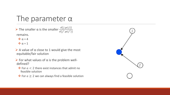### The parameter α

 $\triangleright$  The smaller α is the smaller  $\frac{d(J,\varphi(J))}{d(J,\varphi(J))}$  $d(j',\varphi(j')$ remains.

- $\therefore \alpha = 4$
- $\therefore \alpha = 1$
- $\triangleright$  A value of  $\alpha$  close to 1 would give the most equitable/fair solution
- $\triangleright$  For what values of  $\alpha$  is the problem welldefined?
	- $\cdot$  For  $a < 2$  there exist instances that admit no feasible solution
	- $\bullet$  For  $a \ge 2$  we can always find a feasible solution

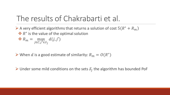### The results of Chakrabarti et al.

A very efficient algorithms that returns a solution of cost  $5(R^* + R_m)$  $\mathbf{\hat{*}}$  *R*<sup>\*</sup> is the value of the optimal solution

 $R_m = \max_{i \in \mathcal{C}}$  $j\in\!\mathcal{C},j'\!\in\!\mathcal{S}_j$  $d(j,j')$ 

 $\triangleright$  When d is a good estimate of similarity:  $R_m = O(R^*)$ 

 $\triangleright$  Under some mild conditions on the sets  $S_i$  the algorithm has bounded PoF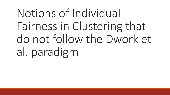Notions of Individual Fairness in Clustering that do not follow the Dwork et al. paradigm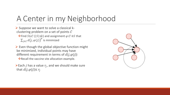# A Center in my Neighborhood

 $\triangleright$  Suppose we want to solve a classical kclustering problem on a set of points  $C$  $\cdot$  Find  $S \subseteq C$  (|S| ≤ k) and assignment  $\varphi$  :  $\mathcal{C} \rightarrow S$  that  $\sum_{j\in\mathcal{C}}d(j,\varphi(j))^p$  is minimized

 $\triangleright$  Even though the global objective function might be minimized, individual points may have different requirement in terms of  $d(j,\varphi(j))$  $\cdot$ Recall the vaccine site allocation example.

 $\triangleright$  Each *j* has a value  $r_i$ , and we should make sure that  $d(j,\varphi(j)) \leq r_j$ 

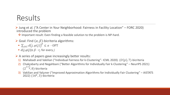### Results

 Jung et al. ("A Center in Your Neighborhood: Fairness in Facility Location" – FORC 2020) introduced the problem

◆ Important result: Even finding a feasible solution to the problem is NP-hard.

- $\triangleright$  Goal: Find  $(\alpha, \beta)$ -bicriteria algorithms:
	- $\sum_{i \in \mathcal{C}} d(j, \varphi(j))^p \leq \alpha$  · OPT
	- $\blacksquare$   $d(j,\varphi(j)) \leq \beta \cdot r_j$  for every j
- $\triangleright$  A series of papers gave increasingly better results:
	- 1) Mahabadi and Vakilian ("Individual Fairness for k-Clustering" ICML 2020).  $(O(p), 7)$ -bicriteria
	- 2) Chakrabarty and Negahbani ("Better Algorithms for Individually Fair k-Clustering" NeurIPS 2021)  $(2)$  $1+\frac{2}{n}$  $(p, 8)$ -bicriteria
	- 3) Vakilian and Yalçıner ("Improved Approximation Algorithms for Individually Fair Clustering" AISTATS 2022)  $(16^p, 3)$ -bicriteria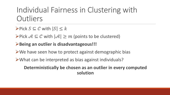### Individual Fairness in Clustering with **Outliers**

- $\triangleright$  Pick  $S \subseteq C$  with  $|S| \leq k$
- $\triangleright$ Pick  $A \subseteq C$  with  $|A| \geq m$  (points to be clustered)
- **Being an outlier is disadvantageous!!!**
- $\triangleright$  We have seen how to protect against demographic bias
- What can be interpreted as bias against individuals?

#### **Deterministically be chosen as an outlier in every computed solution**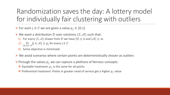Randomization saves the day: A lottery model for individually fair clustering with outliers

For each  $j \in \mathcal{C}$  we are given a value  $p_j \in [0,1]$ 

 $\triangleright$  We want a distribution  $D$  over solutions  $(S, A)$  such that:

- 1) For every  $(S, A)$  drawn from D we have  $|S| \leq k$  and  $|A| \geq m$ .
- 2)  $\Pr_{(S,\mathcal{A})\sim\mathcal{D}}[j\in\mathcal{A}]\geq p_j$  for every  $j\in\mathcal{C}$
- 3) Some objective is minimized
- $\triangleright$  We avoid scenarios where certain points are deterministically chosen as outliers
- $\triangleright$ Through the values  $p_i$  we can capture a plethora of fairness concepts:
	- $\bullet$  Equitable treatment:  $p_i$  is the same for all points
	- $\triangle$  Preferential treatment: Points in greater need of service get a higher  $p_i$  value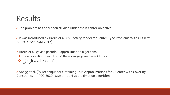### Results

 $\triangleright$  The problem has only been studied under the k-center objective.

 $\triangleright$  It was introduced by Harris et al. ("A Lottery Model for Center-Type Problems With Outliers" – APPROX-RANDOM 2017)

 $\triangleright$  Harris et al. gave a pseudo 2-approximation algorithm.

 $\cdot$  In every solution drawn from  $\mathcal D$  the coverage guarantee is  $(1 - \varepsilon)m$ 

$$
\mathbf{\hat{P}}_{(S,\mathcal{A})\sim\mathcal{D}}^{\mathbf{P}}[j\in\mathcal{A}]\geq(1-\varepsilon)p_j
$$

 Anegg et al. ("A Technique for Obtaining True Approximations for k-Center with Covering Constraints" – IPCO 2020) gave a true 4-approximation algorithm.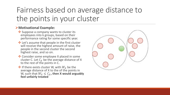# Fairness based on average distance to the points in your cluster

#### **Motivational Example:**

- ❖ Suppose a company wants to cluster its employees into k groups, based on their performance rating for some specific year.
- $\cdot$  Let's assume that people in the first cluster will receive the highest amount of raise, the people in the second cluster the second highest raise, and so on.
- **V** Consider some employee X placed in some cluster C. Let  $C_X$  be the average distance of X to the rest of the points in C.
- $\mathbf{\hat{P}}$  If there exists cluster W, with  $W_X$  be the average distance of X to the of the points in W, such that  $W_X \leq C_X$ , then X would arguably **feel unfairly treated**